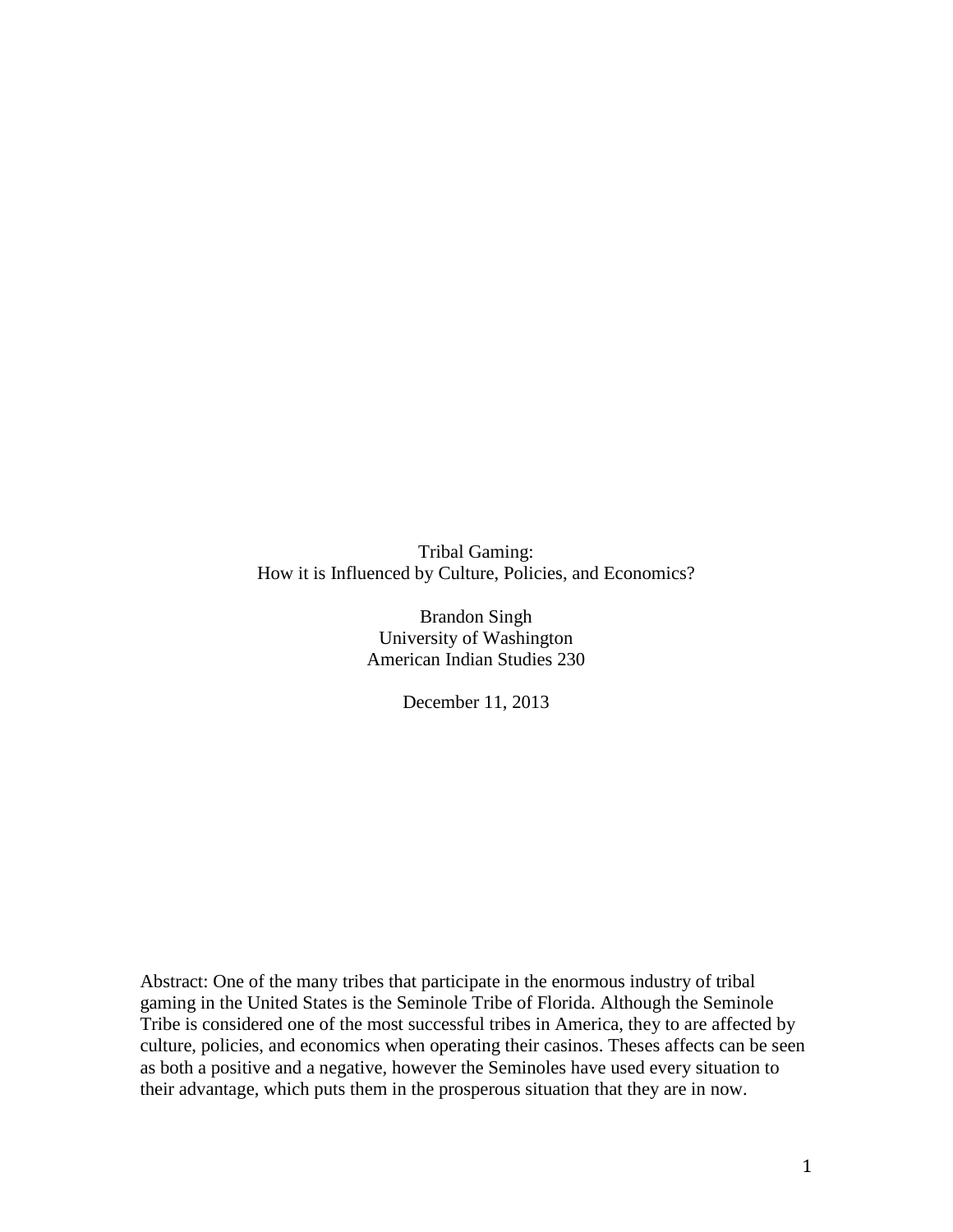Tribal Gaming: How it is Influenced by Culture, Policies, and Economics?

> Brandon Singh University of Washington American Indian Studies 230

> > December 11, 2013

Abstract: One of the many tribes that participate in the enormous industry of tribal gaming in the United States is the Seminole Tribe of Florida. Although the Seminole Tribe is considered one of the most successful tribes in America, they to are affected by culture, policies, and economics when operating their casinos. Theses affects can be seen as both a positive and a negative, however the Seminoles have used every situation to their advantage, which puts them in the prosperous situation that they are in now.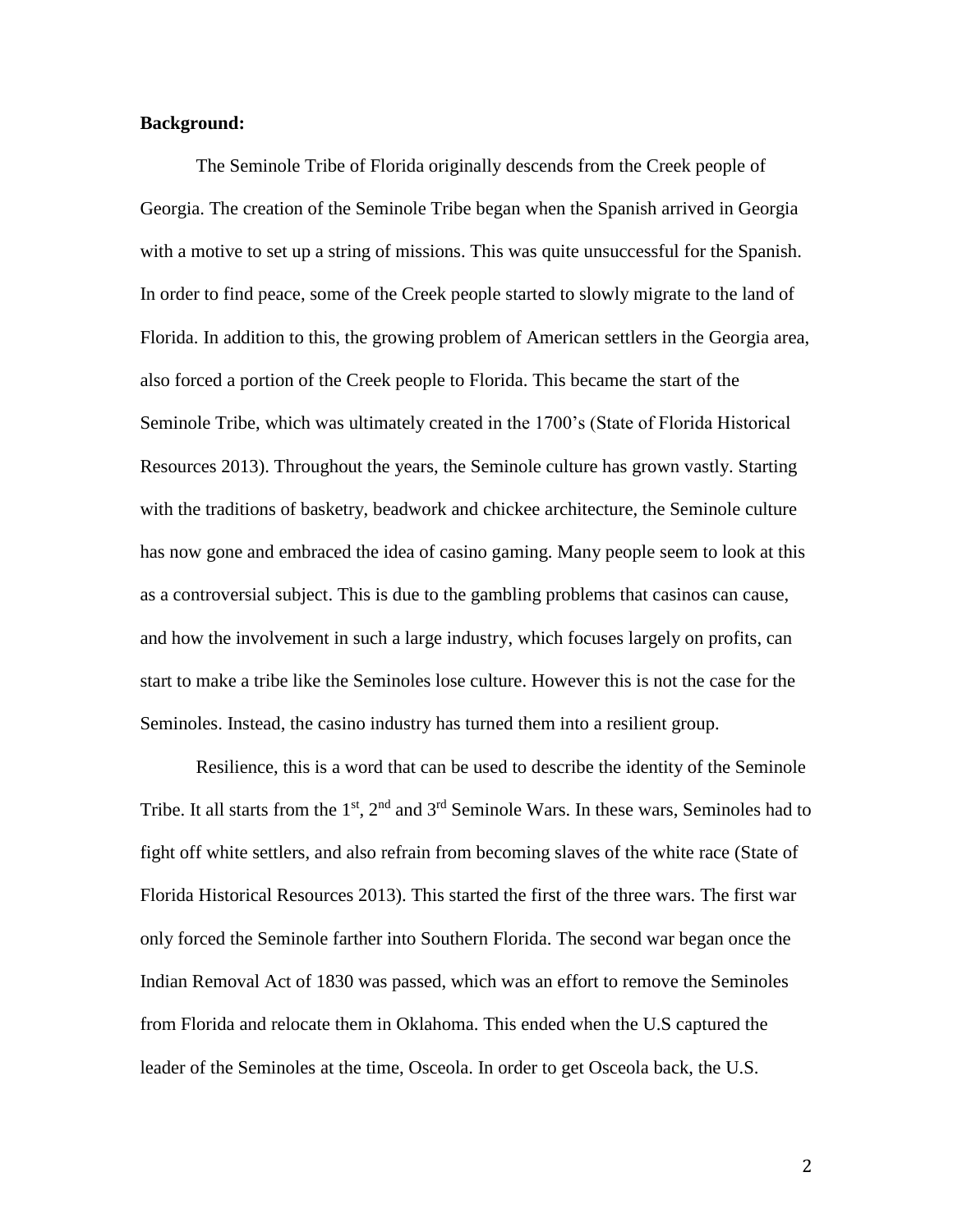## **Background:**

The Seminole Tribe of Florida originally descends from the Creek people of Georgia. The creation of the Seminole Tribe began when the Spanish arrived in Georgia with a motive to set up a string of missions. This was quite unsuccessful for the Spanish. In order to find peace, some of the Creek people started to slowly migrate to the land of Florida. In addition to this, the growing problem of American settlers in the Georgia area, also forced a portion of the Creek people to Florida. This became the start of the Seminole Tribe, which was ultimately created in the 1700's (State of Florida Historical Resources 2013). Throughout the years, the Seminole culture has grown vastly. Starting with the traditions of basketry, beadwork and chickee architecture, the Seminole culture has now gone and embraced the idea of casino gaming. Many people seem to look at this as a controversial subject. This is due to the gambling problems that casinos can cause, and how the involvement in such a large industry, which focuses largely on profits, can start to make a tribe like the Seminoles lose culture. However this is not the case for the Seminoles. Instead, the casino industry has turned them into a resilient group.

Resilience, this is a word that can be used to describe the identity of the Seminole Tribe. It all starts from the  $1<sup>st</sup>$ ,  $2<sup>nd</sup>$  and  $3<sup>rd</sup>$  Seminole Wars. In these wars, Seminoles had to fight off white settlers, and also refrain from becoming slaves of the white race (State of Florida Historical Resources 2013). This started the first of the three wars. The first war only forced the Seminole farther into Southern Florida. The second war began once the Indian Removal Act of 1830 was passed, which was an effort to remove the Seminoles from Florida and relocate them in Oklahoma. This ended when the U.S captured the leader of the Seminoles at the time, Osceola. In order to get Osceola back, the U.S.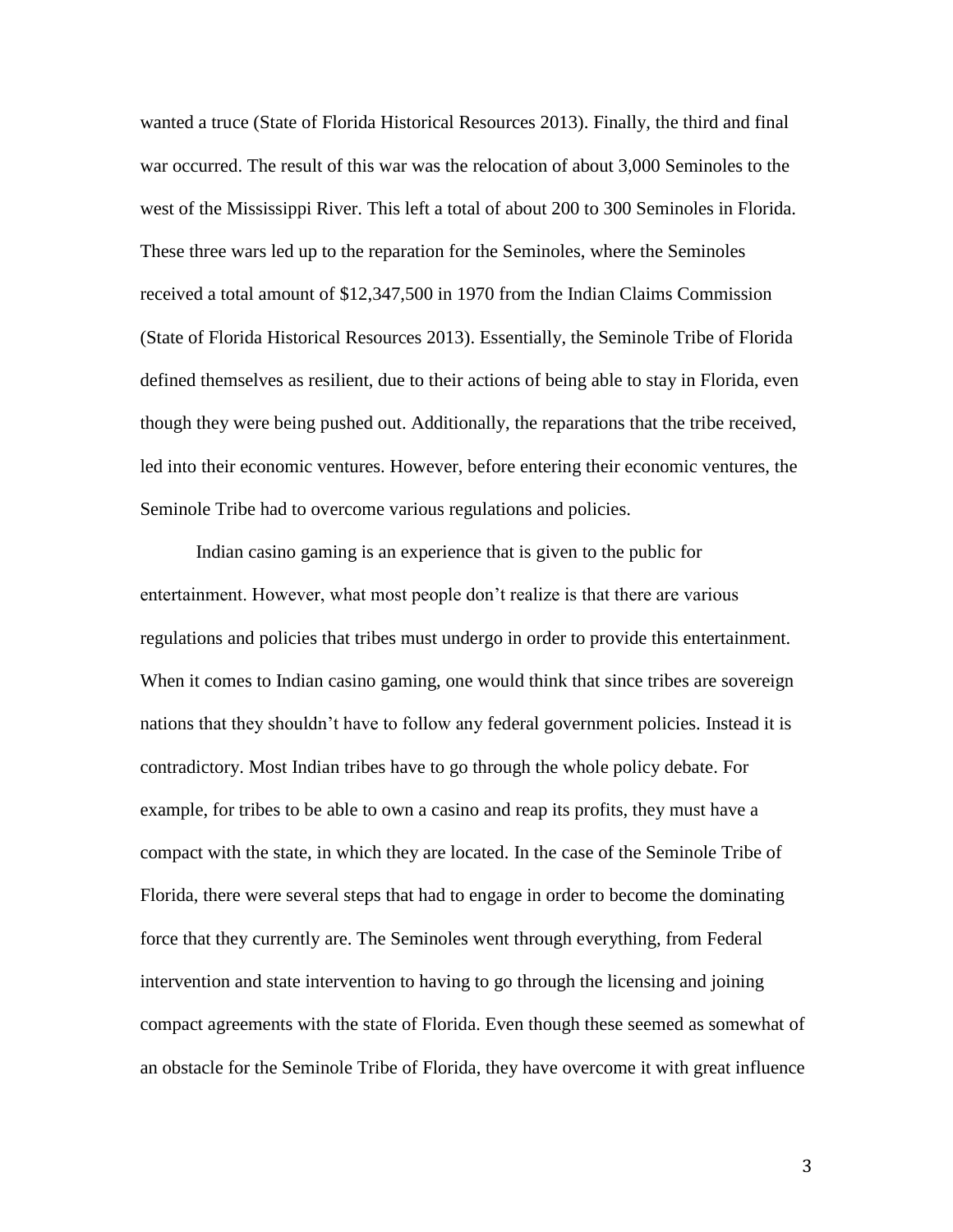wanted a truce (State of Florida Historical Resources 2013). Finally, the third and final war occurred. The result of this war was the relocation of about 3,000 Seminoles to the west of the Mississippi River. This left a total of about 200 to 300 Seminoles in Florida. These three wars led up to the reparation for the Seminoles, where the Seminoles received a total amount of \$12,347,500 in 1970 from the Indian Claims Commission (State of Florida Historical Resources 2013). Essentially, the Seminole Tribe of Florida defined themselves as resilient, due to their actions of being able to stay in Florida, even though they were being pushed out. Additionally, the reparations that the tribe received, led into their economic ventures. However, before entering their economic ventures, the Seminole Tribe had to overcome various regulations and policies.

Indian casino gaming is an experience that is given to the public for entertainment. However, what most people don't realize is that there are various regulations and policies that tribes must undergo in order to provide this entertainment. When it comes to Indian casino gaming, one would think that since tribes are sovereign nations that they shouldn't have to follow any federal government policies. Instead it is contradictory. Most Indian tribes have to go through the whole policy debate. For example, for tribes to be able to own a casino and reap its profits, they must have a compact with the state, in which they are located. In the case of the Seminole Tribe of Florida, there were several steps that had to engage in order to become the dominating force that they currently are. The Seminoles went through everything, from Federal intervention and state intervention to having to go through the licensing and joining compact agreements with the state of Florida. Even though these seemed as somewhat of an obstacle for the Seminole Tribe of Florida, they have overcome it with great influence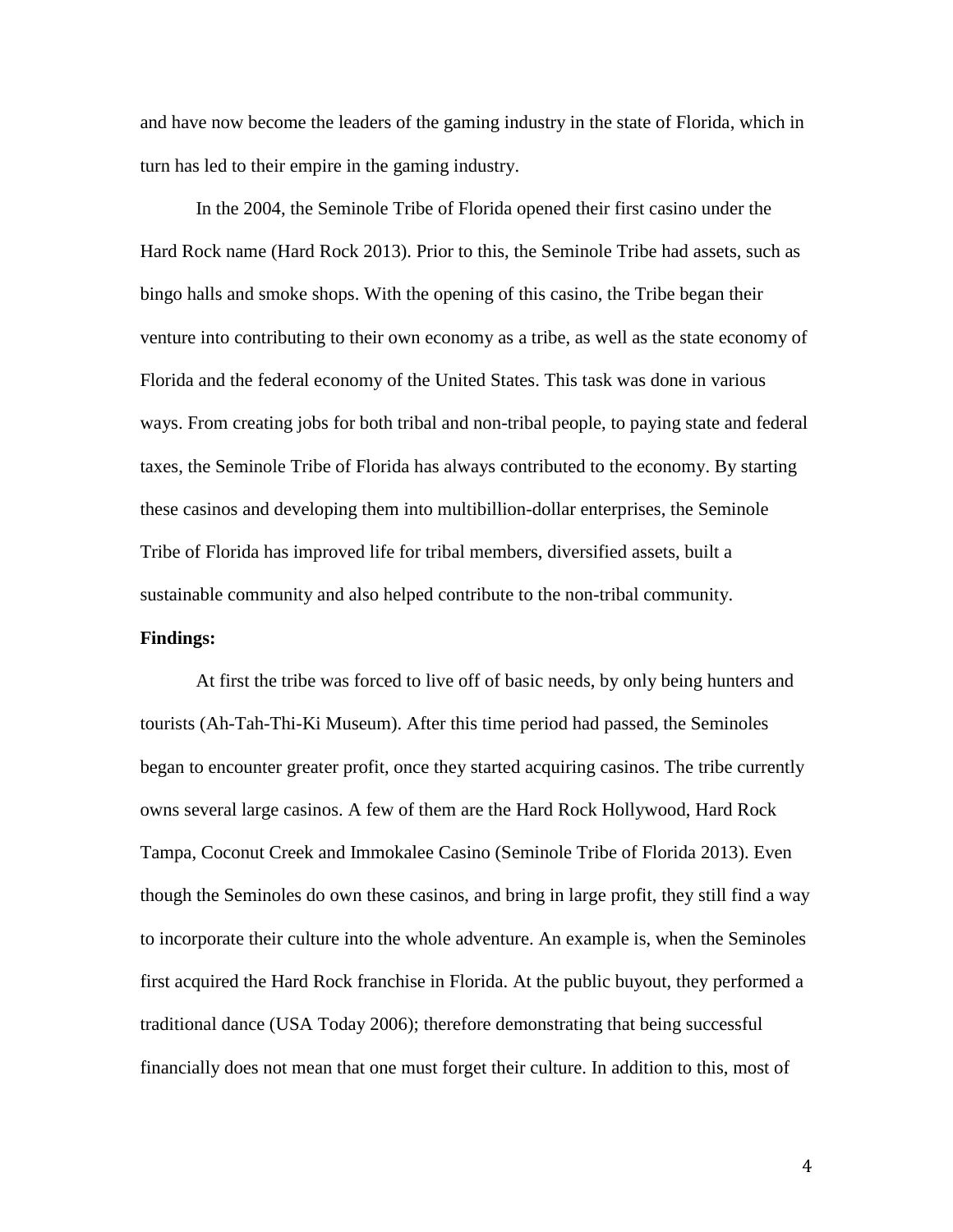and have now become the leaders of the gaming industry in the state of Florida, which in turn has led to their empire in the gaming industry.

In the 2004, the Seminole Tribe of Florida opened their first casino under the Hard Rock name (Hard Rock 2013). Prior to this, the Seminole Tribe had assets, such as bingo halls and smoke shops. With the opening of this casino, the Tribe began their venture into contributing to their own economy as a tribe, as well as the state economy of Florida and the federal economy of the United States. This task was done in various ways. From creating jobs for both tribal and non-tribal people, to paying state and federal taxes, the Seminole Tribe of Florida has always contributed to the economy. By starting these casinos and developing them into multibillion-dollar enterprises, the Seminole Tribe of Florida has improved life for tribal members, diversified assets, built a sustainable community and also helped contribute to the non-tribal community.

## **Findings:**

At first the tribe was forced to live off of basic needs, by only being hunters and tourists (Ah-Tah-Thi-Ki Museum). After this time period had passed, the Seminoles began to encounter greater profit, once they started acquiring casinos. The tribe currently owns several large casinos. A few of them are the Hard Rock Hollywood, Hard Rock Tampa, Coconut Creek and Immokalee Casino (Seminole Tribe of Florida 2013). Even though the Seminoles do own these casinos, and bring in large profit, they still find a way to incorporate their culture into the whole adventure. An example is, when the Seminoles first acquired the Hard Rock franchise in Florida. At the public buyout, they performed a traditional dance (USA Today 2006); therefore demonstrating that being successful financially does not mean that one must forget their culture. In addition to this, most of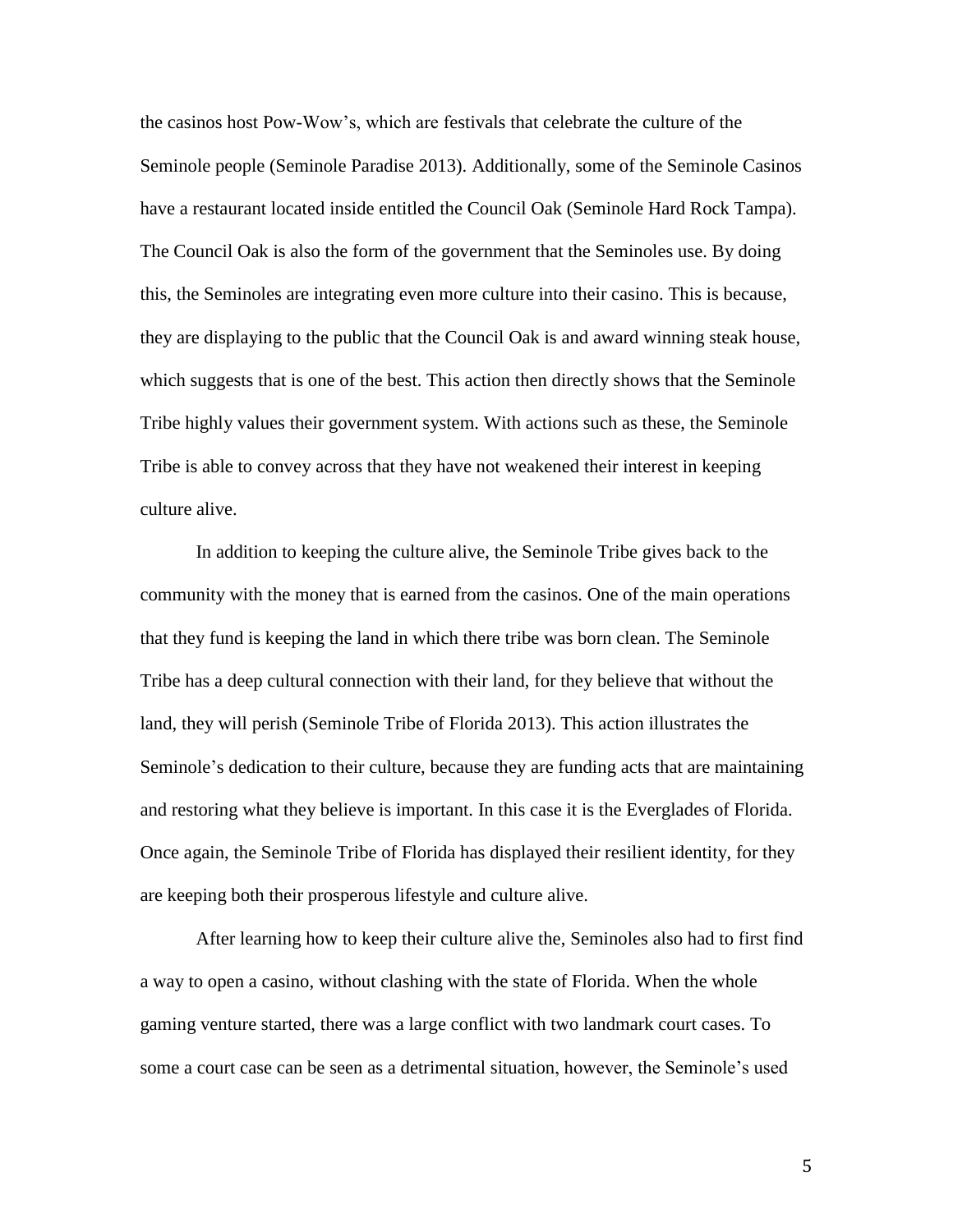the casinos host Pow-Wow's, which are festivals that celebrate the culture of the Seminole people (Seminole Paradise 2013). Additionally, some of the Seminole Casinos have a restaurant located inside entitled the Council Oak (Seminole Hard Rock Tampa). The Council Oak is also the form of the government that the Seminoles use. By doing this, the Seminoles are integrating even more culture into their casino. This is because, they are displaying to the public that the Council Oak is and award winning steak house, which suggests that is one of the best. This action then directly shows that the Seminole Tribe highly values their government system. With actions such as these, the Seminole Tribe is able to convey across that they have not weakened their interest in keeping culture alive.

In addition to keeping the culture alive, the Seminole Tribe gives back to the community with the money that is earned from the casinos. One of the main operations that they fund is keeping the land in which there tribe was born clean. The Seminole Tribe has a deep cultural connection with their land, for they believe that without the land, they will perish (Seminole Tribe of Florida 2013). This action illustrates the Seminole's dedication to their culture, because they are funding acts that are maintaining and restoring what they believe is important. In this case it is the Everglades of Florida. Once again, the Seminole Tribe of Florida has displayed their resilient identity, for they are keeping both their prosperous lifestyle and culture alive.

After learning how to keep their culture alive the, Seminoles also had to first find a way to open a casino, without clashing with the state of Florida. When the whole gaming venture started, there was a large conflict with two landmark court cases. To some a court case can be seen as a detrimental situation, however, the Seminole's used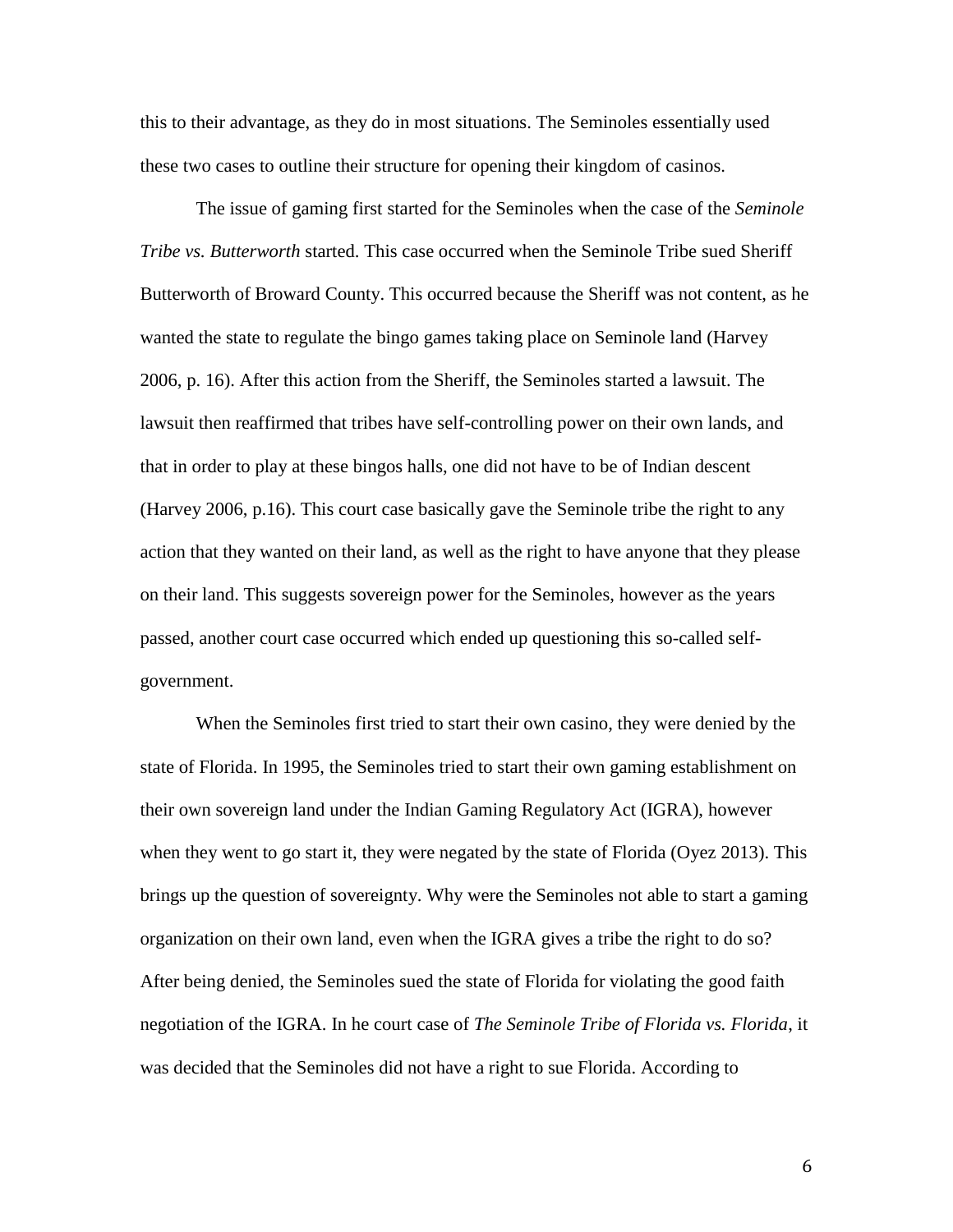this to their advantage, as they do in most situations. The Seminoles essentially used these two cases to outline their structure for opening their kingdom of casinos.

The issue of gaming first started for the Seminoles when the case of the *Seminole Tribe vs. Butterworth* started. This case occurred when the Seminole Tribe sued Sheriff Butterworth of Broward County. This occurred because the Sheriff was not content, as he wanted the state to regulate the bingo games taking place on Seminole land (Harvey 2006, p. 16). After this action from the Sheriff, the Seminoles started a lawsuit. The lawsuit then reaffirmed that tribes have self-controlling power on their own lands, and that in order to play at these bingos halls, one did not have to be of Indian descent (Harvey 2006, p.16). This court case basically gave the Seminole tribe the right to any action that they wanted on their land, as well as the right to have anyone that they please on their land. This suggests sovereign power for the Seminoles, however as the years passed, another court case occurred which ended up questioning this so-called selfgovernment.

When the Seminoles first tried to start their own casino, they were denied by the state of Florida. In 1995, the Seminoles tried to start their own gaming establishment on their own sovereign land under the Indian Gaming Regulatory Act (IGRA), however when they went to go start it, they were negated by the state of Florida (Oyez 2013). This brings up the question of sovereignty. Why were the Seminoles not able to start a gaming organization on their own land, even when the IGRA gives a tribe the right to do so? After being denied, the Seminoles sued the state of Florida for violating the good faith negotiation of the IGRA. In he court case of *The Seminole Tribe of Florida vs. Florida*, it was decided that the Seminoles did not have a right to sue Florida. According to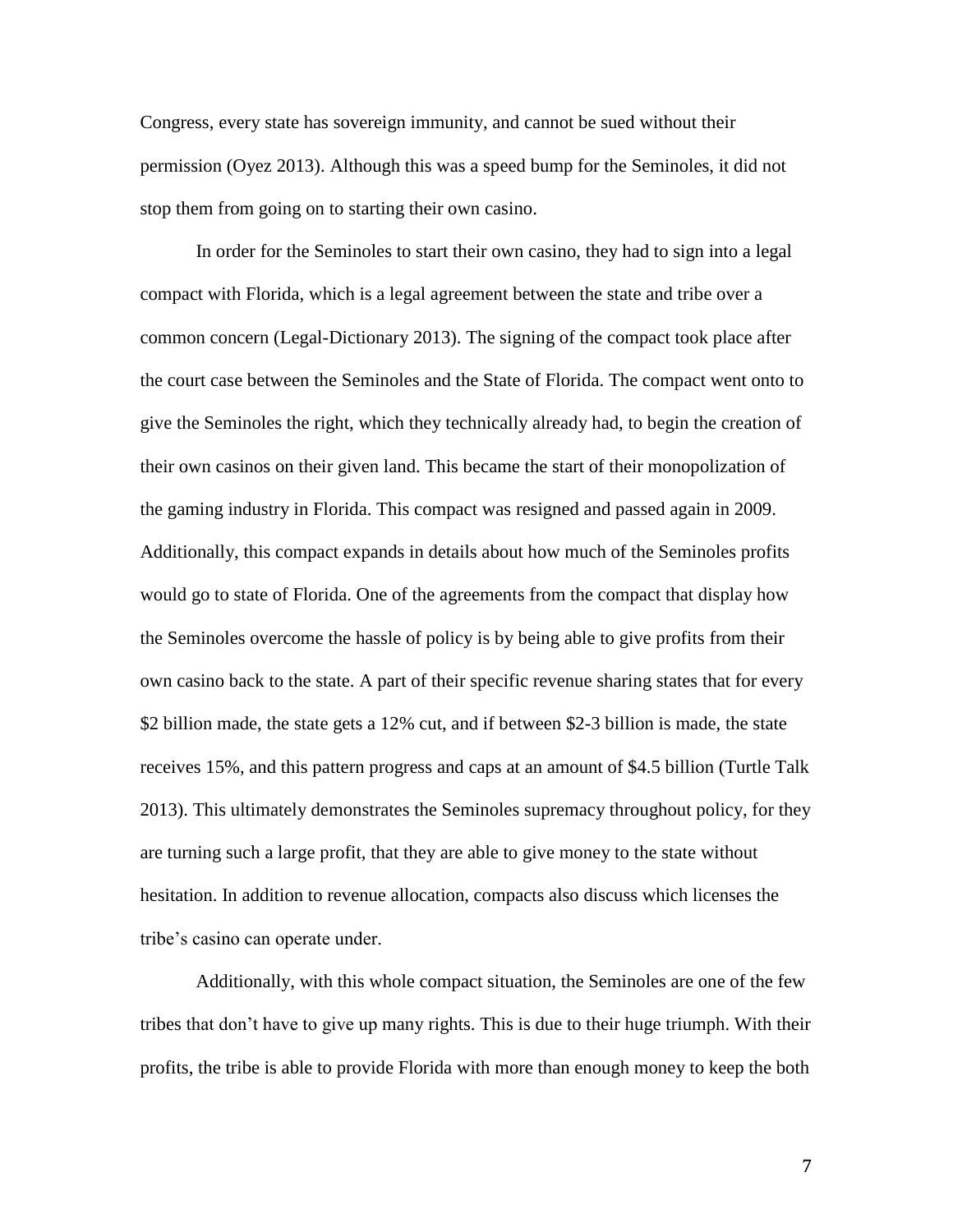Congress, every state has sovereign immunity, and cannot be sued without their permission (Oyez 2013). Although this was a speed bump for the Seminoles, it did not stop them from going on to starting their own casino.

In order for the Seminoles to start their own casino, they had to sign into a legal compact with Florida, which is a legal agreement between the state and tribe over a common concern (Legal-Dictionary 2013). The signing of the compact took place after the court case between the Seminoles and the State of Florida. The compact went onto to give the Seminoles the right, which they technically already had, to begin the creation of their own casinos on their given land. This became the start of their monopolization of the gaming industry in Florida. This compact was resigned and passed again in 2009. Additionally, this compact expands in details about how much of the Seminoles profits would go to state of Florida. One of the agreements from the compact that display how the Seminoles overcome the hassle of policy is by being able to give profits from their own casino back to the state. A part of their specific revenue sharing states that for every \$2 billion made, the state gets a 12% cut, and if between \$2-3 billion is made, the state receives 15%, and this pattern progress and caps at an amount of \$4.5 billion (Turtle Talk 2013). This ultimately demonstrates the Seminoles supremacy throughout policy, for they are turning such a large profit, that they are able to give money to the state without hesitation. In addition to revenue allocation, compacts also discuss which licenses the tribe's casino can operate under.

Additionally, with this whole compact situation, the Seminoles are one of the few tribes that don't have to give up many rights. This is due to their huge triumph. With their profits, the tribe is able to provide Florida with more than enough money to keep the both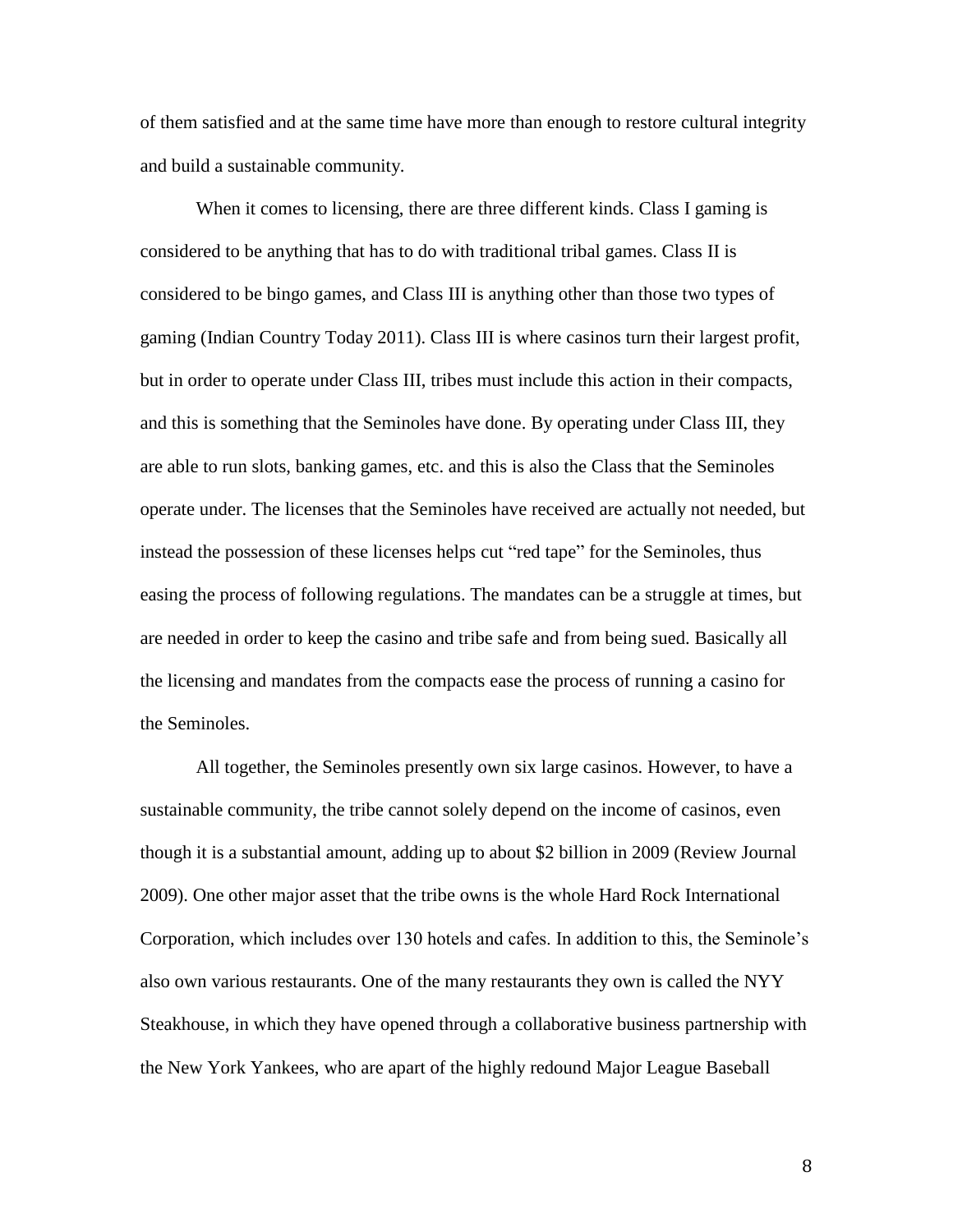of them satisfied and at the same time have more than enough to restore cultural integrity and build a sustainable community.

When it comes to licensing, there are three different kinds. Class I gaming is considered to be anything that has to do with traditional tribal games. Class II is considered to be bingo games, and Class III is anything other than those two types of gaming (Indian Country Today 2011). Class III is where casinos turn their largest profit, but in order to operate under Class III, tribes must include this action in their compacts, and this is something that the Seminoles have done. By operating under Class III, they are able to run slots, banking games, etc. and this is also the Class that the Seminoles operate under. The licenses that the Seminoles have received are actually not needed, but instead the possession of these licenses helps cut "red tape" for the Seminoles, thus easing the process of following regulations. The mandates can be a struggle at times, but are needed in order to keep the casino and tribe safe and from being sued. Basically all the licensing and mandates from the compacts ease the process of running a casino for the Seminoles.

All together, the Seminoles presently own six large casinos. However, to have a sustainable community, the tribe cannot solely depend on the income of casinos, even though it is a substantial amount, adding up to about \$2 billion in 2009 (Review Journal 2009). One other major asset that the tribe owns is the whole Hard Rock International Corporation, which includes over 130 hotels and cafes. In addition to this, the Seminole's also own various restaurants. One of the many restaurants they own is called the NYY Steakhouse, in which they have opened through a collaborative business partnership with the New York Yankees, who are apart of the highly redound Major League Baseball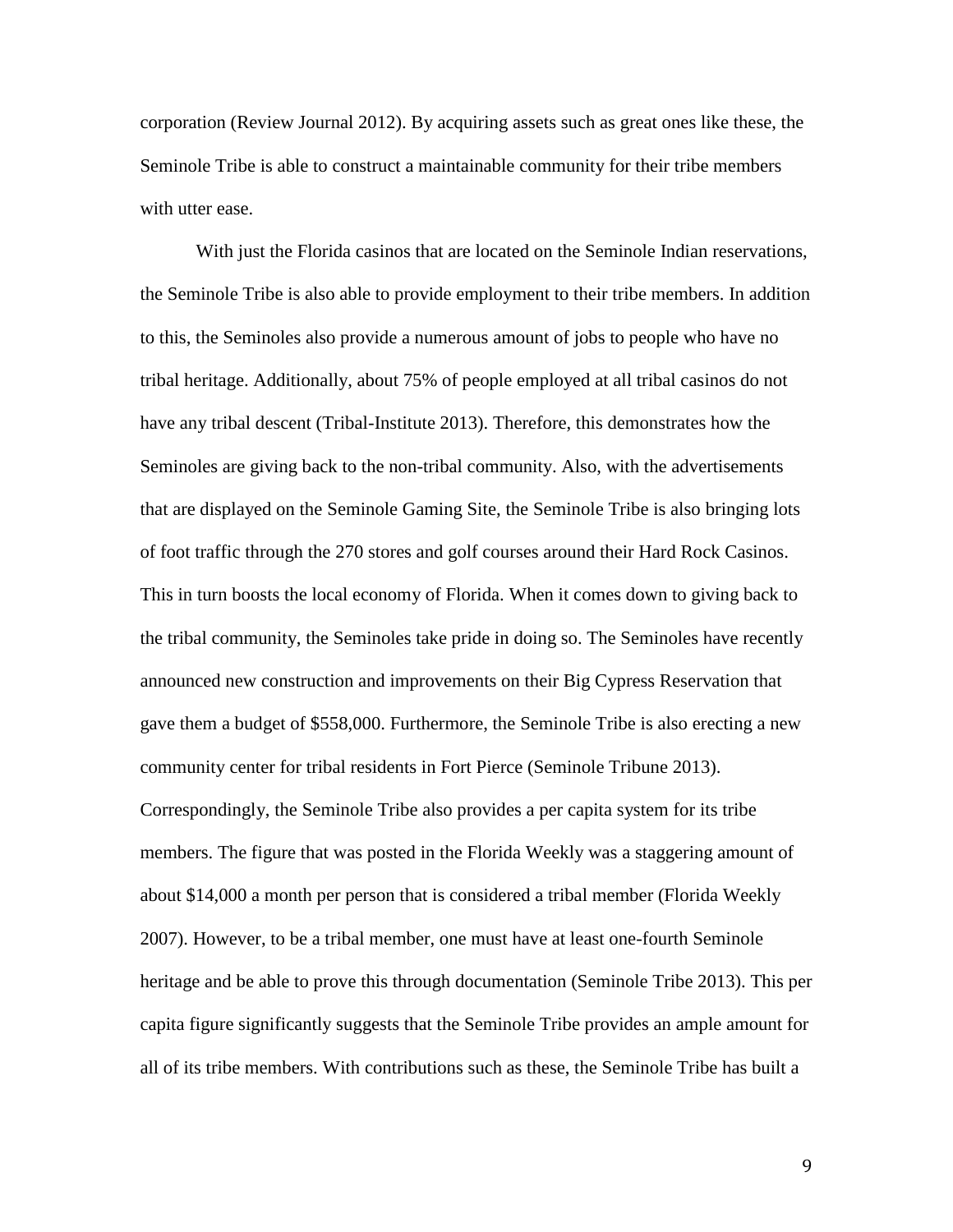corporation (Review Journal 2012). By acquiring assets such as great ones like these, the Seminole Tribe is able to construct a maintainable community for their tribe members with utter ease.

With just the Florida casinos that are located on the Seminole Indian reservations, the Seminole Tribe is also able to provide employment to their tribe members. In addition to this, the Seminoles also provide a numerous amount of jobs to people who have no tribal heritage. Additionally, about 75% of people employed at all tribal casinos do not have any tribal descent (Tribal-Institute 2013). Therefore, this demonstrates how the Seminoles are giving back to the non-tribal community. Also, with the advertisements that are displayed on the Seminole Gaming Site, the Seminole Tribe is also bringing lots of foot traffic through the 270 stores and golf courses around their Hard Rock Casinos. This in turn boosts the local economy of Florida. When it comes down to giving back to the tribal community, the Seminoles take pride in doing so. The Seminoles have recently announced new construction and improvements on their Big Cypress Reservation that gave them a budget of \$558,000. Furthermore, the Seminole Tribe is also erecting a new community center for tribal residents in Fort Pierce (Seminole Tribune 2013). Correspondingly, the Seminole Tribe also provides a per capita system for its tribe members. The figure that was posted in the Florida Weekly was a staggering amount of about \$14,000 a month per person that is considered a tribal member (Florida Weekly 2007). However, to be a tribal member, one must have at least one-fourth Seminole heritage and be able to prove this through documentation (Seminole Tribe 2013). This per capita figure significantly suggests that the Seminole Tribe provides an ample amount for all of its tribe members. With contributions such as these, the Seminole Tribe has built a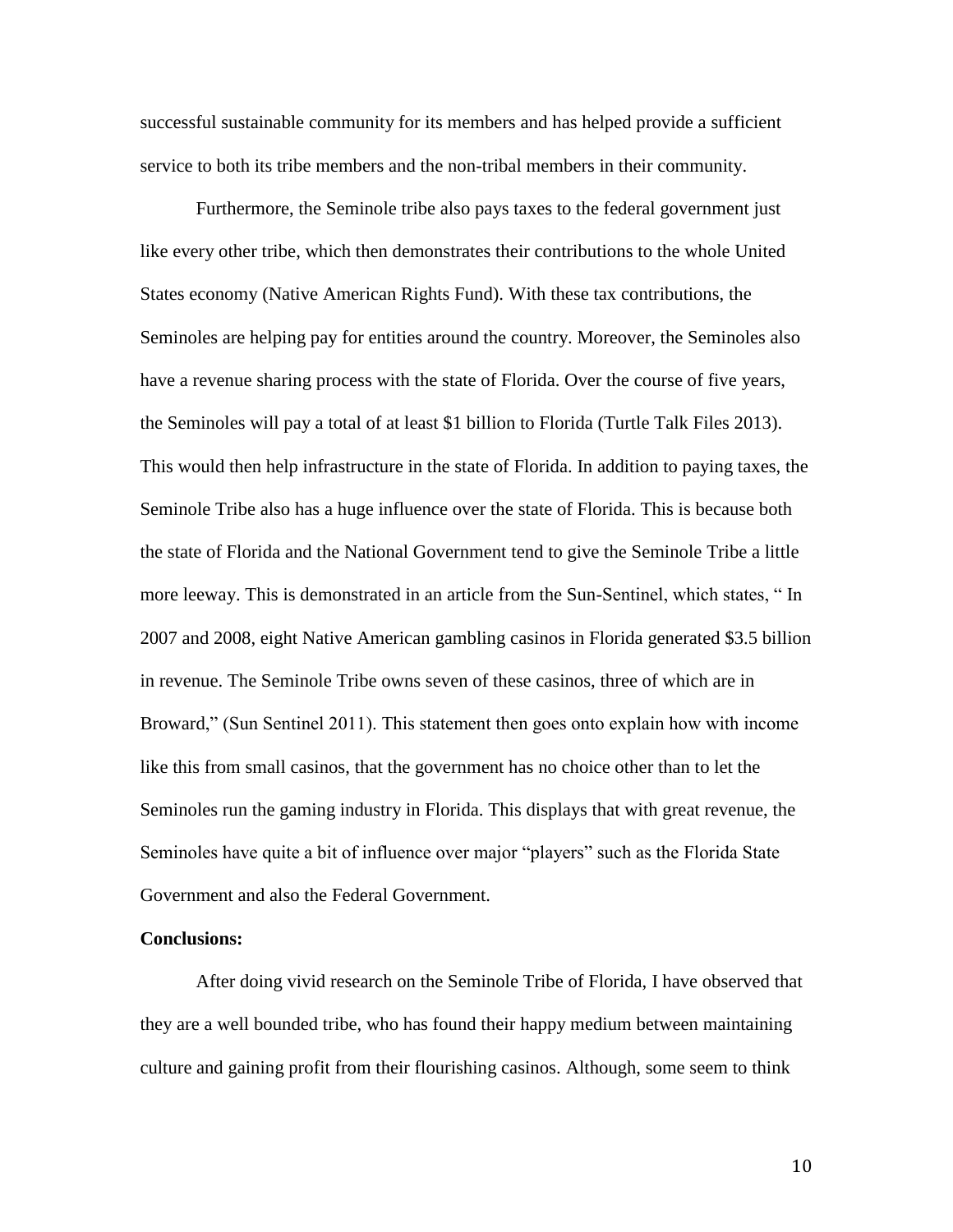successful sustainable community for its members and has helped provide a sufficient service to both its tribe members and the non-tribal members in their community.

Furthermore, the Seminole tribe also pays taxes to the federal government just like every other tribe, which then demonstrates their contributions to the whole United States economy (Native American Rights Fund). With these tax contributions, the Seminoles are helping pay for entities around the country. Moreover, the Seminoles also have a revenue sharing process with the state of Florida. Over the course of five years, the Seminoles will pay a total of at least \$1 billion to Florida (Turtle Talk Files 2013). This would then help infrastructure in the state of Florida. In addition to paying taxes, the Seminole Tribe also has a huge influence over the state of Florida. This is because both the state of Florida and the National Government tend to give the Seminole Tribe a little more leeway. This is demonstrated in an article from the Sun-Sentinel, which states, " In 2007 and 2008, eight Native American gambling casinos in Florida generated \$3.5 billion in revenue. The Seminole Tribe owns seven of these casinos, three of which are in Broward," (Sun Sentinel 2011). This statement then goes onto explain how with income like this from small casinos, that the government has no choice other than to let the Seminoles run the gaming industry in Florida. This displays that with great revenue, the Seminoles have quite a bit of influence over major "players" such as the Florida State Government and also the Federal Government.

## **Conclusions:**

After doing vivid research on the Seminole Tribe of Florida, I have observed that they are a well bounded tribe, who has found their happy medium between maintaining culture and gaining profit from their flourishing casinos. Although, some seem to think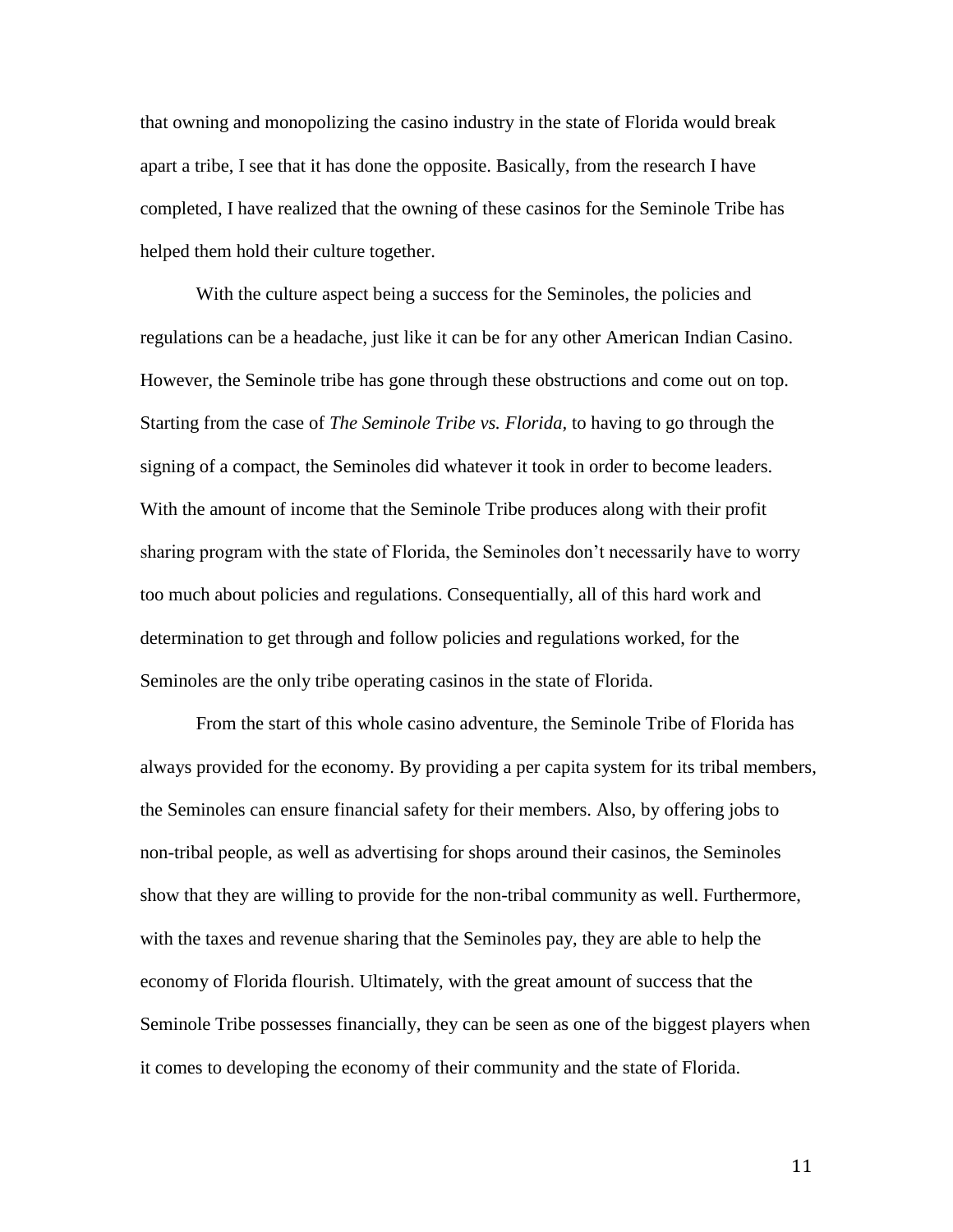that owning and monopolizing the casino industry in the state of Florida would break apart a tribe, I see that it has done the opposite. Basically, from the research I have completed, I have realized that the owning of these casinos for the Seminole Tribe has helped them hold their culture together.

With the culture aspect being a success for the Seminoles, the policies and regulations can be a headache, just like it can be for any other American Indian Casino. However, the Seminole tribe has gone through these obstructions and come out on top. Starting from the case of *The Seminole Tribe vs. Florida,* to having to go through the signing of a compact, the Seminoles did whatever it took in order to become leaders. With the amount of income that the Seminole Tribe produces along with their profit sharing program with the state of Florida, the Seminoles don't necessarily have to worry too much about policies and regulations. Consequentially, all of this hard work and determination to get through and follow policies and regulations worked, for the Seminoles are the only tribe operating casinos in the state of Florida.

From the start of this whole casino adventure, the Seminole Tribe of Florida has always provided for the economy. By providing a per capita system for its tribal members, the Seminoles can ensure financial safety for their members. Also, by offering jobs to non-tribal people, as well as advertising for shops around their casinos, the Seminoles show that they are willing to provide for the non-tribal community as well. Furthermore, with the taxes and revenue sharing that the Seminoles pay, they are able to help the economy of Florida flourish. Ultimately, with the great amount of success that the Seminole Tribe possesses financially, they can be seen as one of the biggest players when it comes to developing the economy of their community and the state of Florida.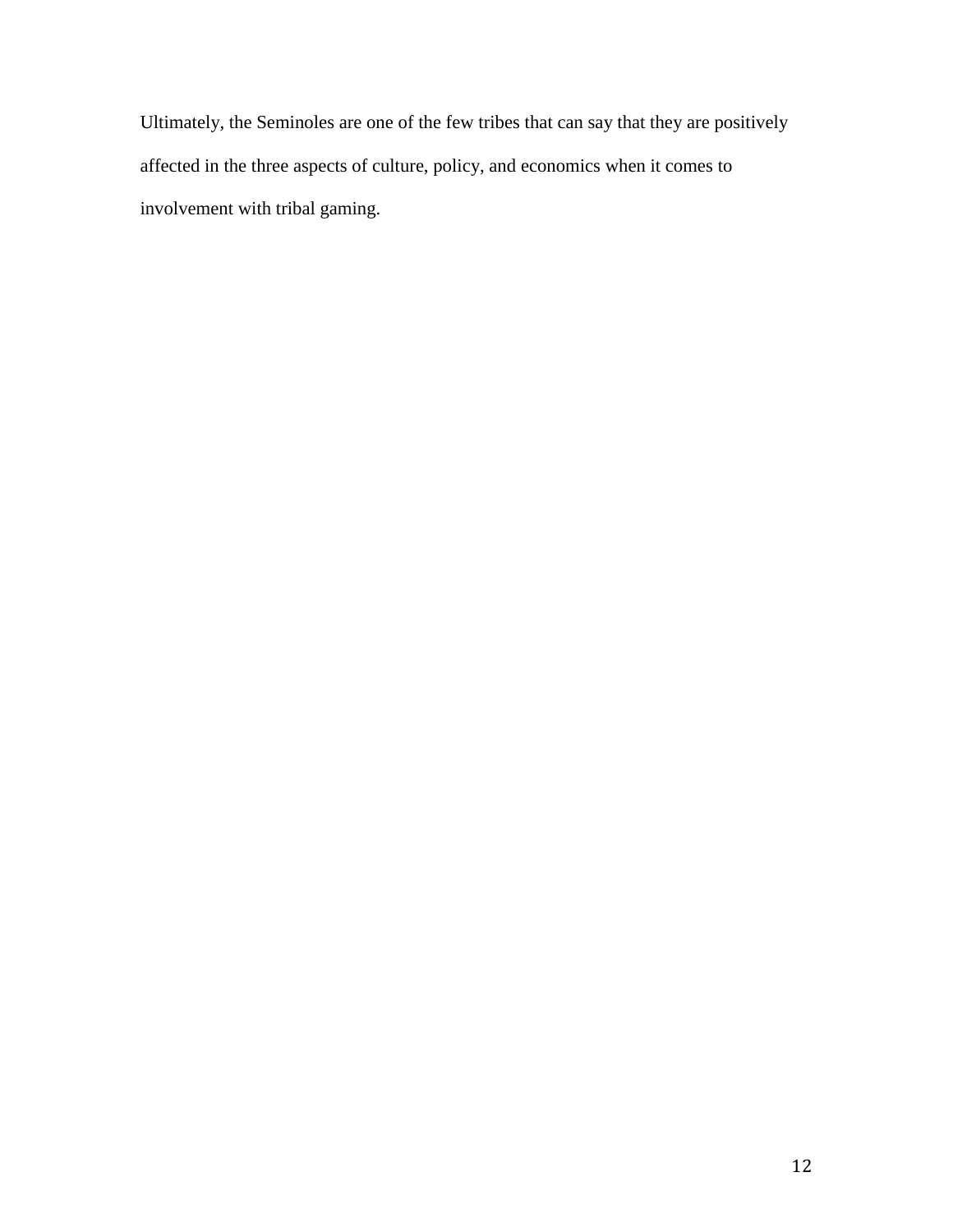Ultimately, the Seminoles are one of the few tribes that can say that they are positively affected in the three aspects of culture, policy, and economics when it comes to involvement with tribal gaming.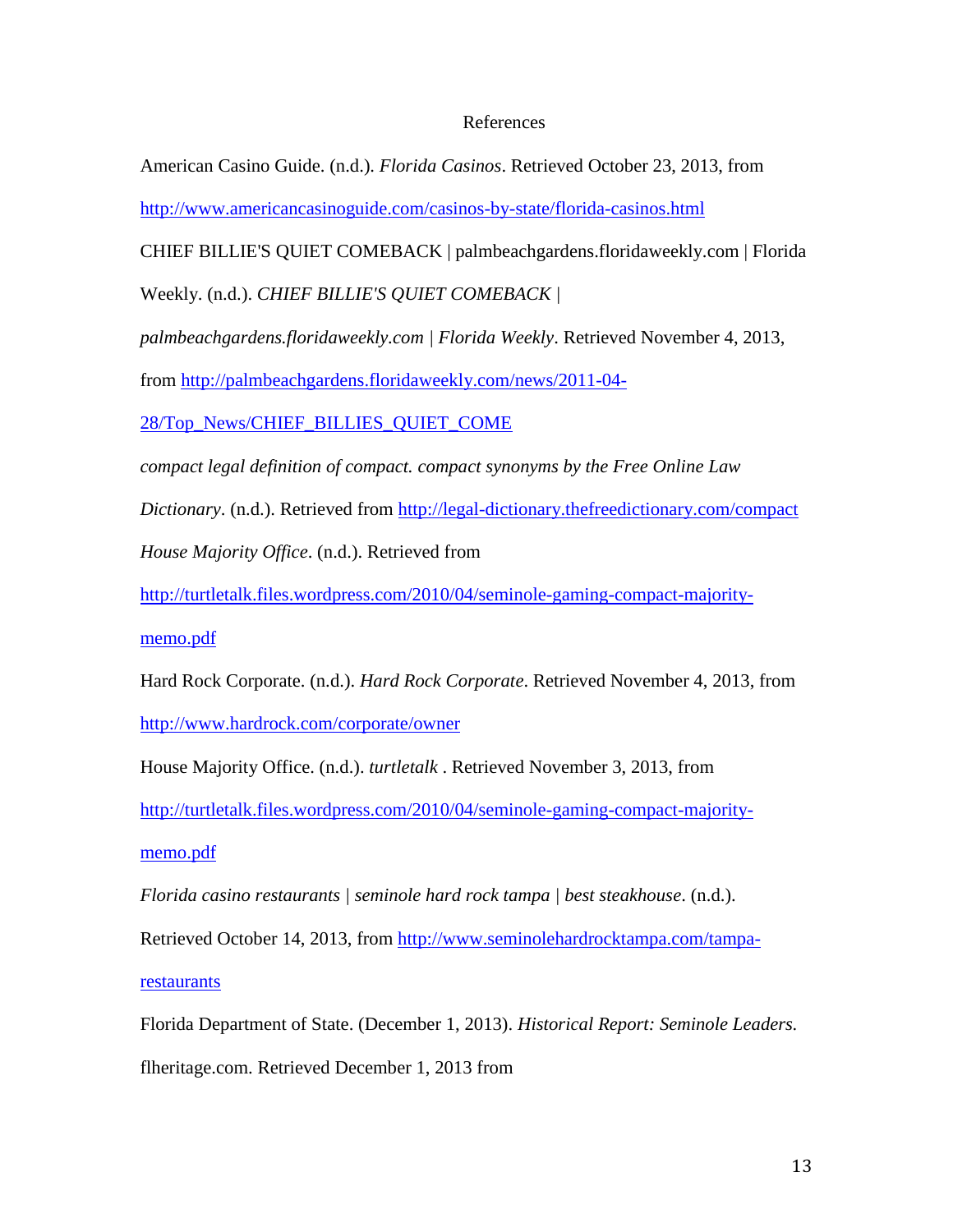## References

American Casino Guide. (n.d.). *Florida Casinos*. Retrieved October 23, 2013, from <http://www.americancasinoguide.com/casinos-by-state/florida-casinos.html>

CHIEF BILLIE'S QUIET COMEBACK | palmbeachgardens.floridaweekly.com | Florida

Weekly. (n.d.). *CHIEF BILLIE'S QUIET COMEBACK |* 

*palmbeachgardens.floridaweekly.com | Florida Weekly*. Retrieved November 4, 2013,

from [http://palmbeachgardens.floridaweekly.com/news/2011-04-](http://palmbeachgardens.floridaweekly.com/news/2011-04-28/Top_News/CHIEF_BILLIES_QUIET_COME)

[28/Top\\_News/CHIEF\\_BILLIES\\_QUIET\\_COME](http://palmbeachgardens.floridaweekly.com/news/2011-04-28/Top_News/CHIEF_BILLIES_QUIET_COME)

*compact legal definition of compact. compact synonyms by the Free Online Law* 

*Dictionary*. (n.d.). Retrieved from<http://legal-dictionary.thefreedictionary.com/compact>

*House Majority Office*. (n.d.). Retrieved from

[http://turtletalk.files.wordpress.com/2010/04/seminole-gaming-compact-majority-](http://turtletalk.files.wordpress.com/2010/04/seminole-gaming-compact-majority-memo.pdf)

[memo.pdf](http://turtletalk.files.wordpress.com/2010/04/seminole-gaming-compact-majority-memo.pdf)

Hard Rock Corporate. (n.d.). *Hard Rock Corporate*. Retrieved November 4, 2013, from <http://www.hardrock.com/corporate/owner>

House Majority Office. (n.d.). *turtletalk* . Retrieved November 3, 2013, from

[http://turtletalk.files.wordpress.com/2010/04/seminole-gaming-compact-majority-](http://turtletalk.files.wordpress.com/2010/04/seminole-gaming-compact-majority-memo.pdf)

[memo.pdf](http://turtletalk.files.wordpress.com/2010/04/seminole-gaming-compact-majority-memo.pdf)

*Florida casino restaurants | seminole hard rock tampa | best steakhouse*. (n.d.).

Retrieved October 14, 2013, from [http://www.seminolehardrocktampa.com/tampa-](http://www.seminolehardrocktampa.com/tampa-restaurants)

**[restaurants](http://www.seminolehardrocktampa.com/tampa-restaurants)** 

Florida Department of State. (December 1, 2013). *Historical Report: Seminole Leaders.* flheritage.com. Retrieved December 1, 2013 from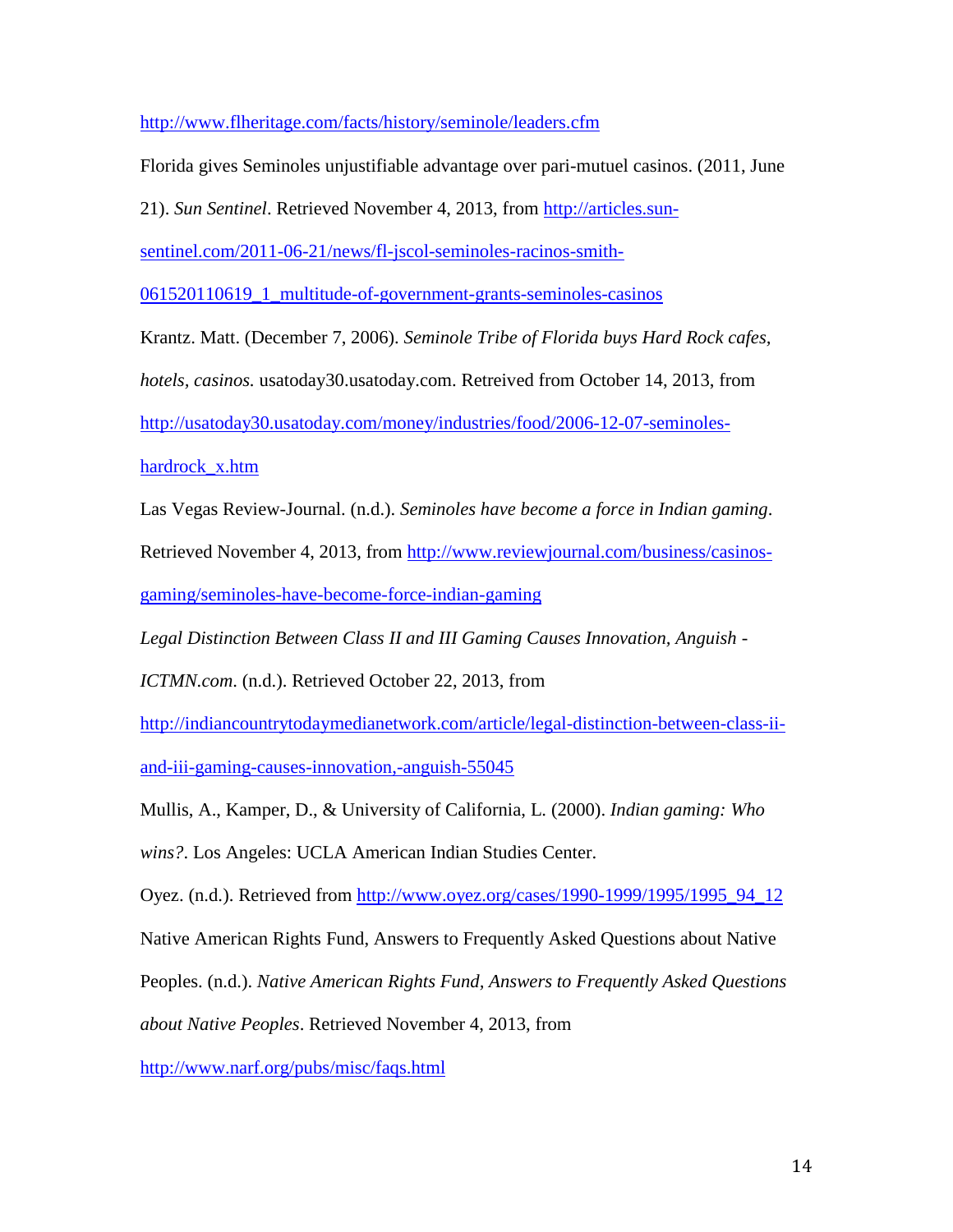<http://www.flheritage.com/facts/history/seminole/leaders.cfm>

Florida gives Seminoles unjustifiable advantage over pari-mutuel casinos. (2011, June

21). *Sun Sentinel*. Retrieved November 4, 2013, from [http://articles.sun-](http://articles.sun-sentinel.com/2011-06-21/news/fl-jscol-seminoles-racinos-smith-061520110619_1_multitude-of-government-grants-seminoles-casinos)

[sentinel.com/2011-06-21/news/fl-jscol-seminoles-racinos-smith-](http://articles.sun-sentinel.com/2011-06-21/news/fl-jscol-seminoles-racinos-smith-061520110619_1_multitude-of-government-grants-seminoles-casinos)

[061520110619\\_1\\_multitude-of-government-grants-seminoles-casinos](http://articles.sun-sentinel.com/2011-06-21/news/fl-jscol-seminoles-racinos-smith-061520110619_1_multitude-of-government-grants-seminoles-casinos)

Krantz. Matt. (December 7, 2006). *Seminole Tribe of Florida buys Hard Rock cafes,* 

*hotels, casinos.* usatoday30.usatoday.com. Retreived from October 14, 2013, from

[http://usatoday30.usatoday.com/money/industries/food/2006-12-07-seminoles-](http://usatoday30.usatoday.com/money/industries/food/2006-12-07-seminoles-hardrock_x.htm)

[hardrock\\_x.htm](http://usatoday30.usatoday.com/money/industries/food/2006-12-07-seminoles-hardrock_x.htm)

Las Vegas Review-Journal. (n.d.). *Seminoles have become a force in Indian gaming*.

Retrieved November 4, 2013, from [http://www.reviewjournal.com/business/casinos-](http://www.reviewjournal.com/business/casinos-gaming/seminoles-have-become-force-indian-gaming)

[gaming/seminoles-have-become-force-indian-gaming](http://www.reviewjournal.com/business/casinos-gaming/seminoles-have-become-force-indian-gaming)

*Legal Distinction Between Class II and III Gaming Causes Innovation, Anguish -*

*ICTMN.com*. (n.d.). Retrieved October 22, 2013, from

[http://indiancountrytodaymedianetwork.com/article/legal-distinction-between-class-ii](http://indiancountrytodaymedianetwork.com/article/legal-distinction-between-class-ii-and-iii-gaming-causes-innovation,-anguish-55045)[and-iii-gaming-causes-innovation,-anguish-55045](http://indiancountrytodaymedianetwork.com/article/legal-distinction-between-class-ii-and-iii-gaming-causes-innovation,-anguish-55045)

Mullis, A., Kamper, D., & University of California, L. (2000). *Indian gaming: Who* 

*wins?*. Los Angeles: UCLA American Indian Studies Center.

Oyez. (n.d.). Retrieved from [http://www.oyez.org/cases/1990-1999/1995/1995\\_94\\_12](http://www.oyez.org/cases/1990-1999/1995/1995_94_12)

Native American Rights Fund, Answers to Frequently Asked Questions about Native

Peoples. (n.d.). *Native American Rights Fund, Answers to Frequently Asked Questions* 

*about Native Peoples*. Retrieved November 4, 2013, from

<http://www.narf.org/pubs/misc/faqs.html>